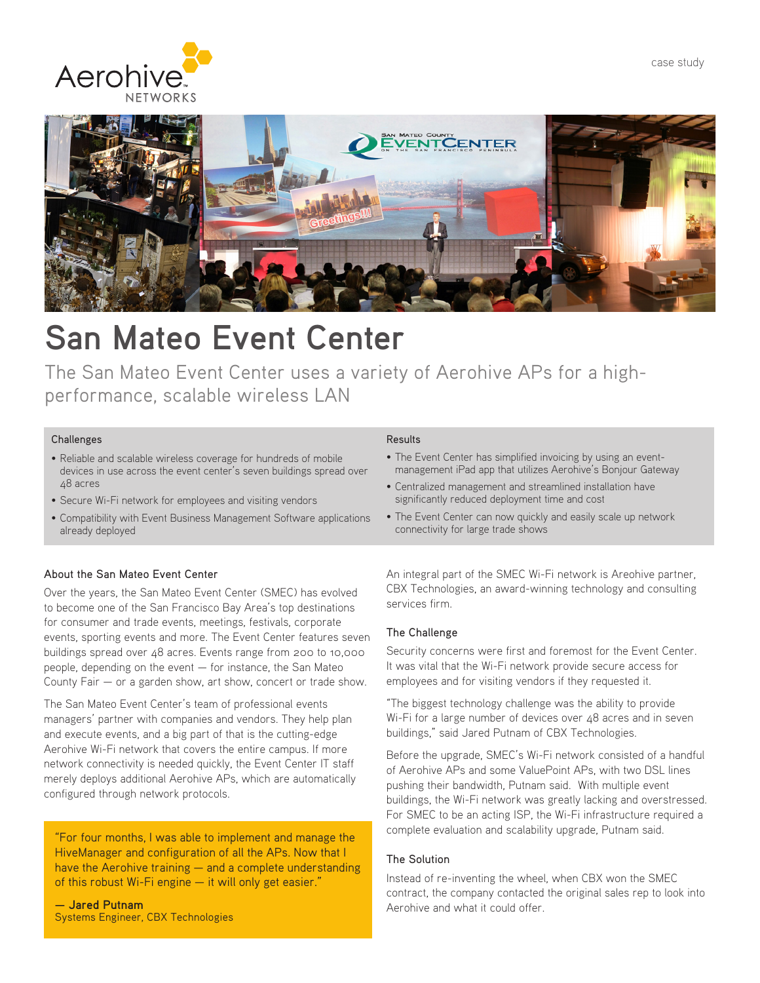





# **San Mateo Event Center**

The San Mateo Event Center uses a variety of Aerohive APs for a highperformance, scalable wireless LAN

#### **Challenges**

- Reliable and scalable wireless coverage for hundreds of mobile devices in use across the event center's seven buildings spread over 48 acres
- Secure Wi-Fi network for employees and visiting vendors
- Compatibility with Event Business Management Software applications already deployed

### About the San Mateo Event Center

Over the years, the San Mateo Event Center (SMEC) has evolved to become one of the San Francisco Bay Area's top destinations for consumer and trade events, meetings, festivals, corporate events, sporting events and more. The Event Center features seven buildings spread over 48 acres. Events range from 200 to 10,000 people, depending on the event — for instance, the San Mateo County Fair — or a garden show, art show, concert or trade show.

The San Mateo Event Center's team of professional events managers' partner with companies and vendors. They help plan and execute events, and a big part of that is the cutting-edge Aerohive Wi-Fi network that covers the entire campus. If more network connectivity is needed quickly, the Event Center IT staff merely deploys additional Aerohive APs, which are automatically configured through network protocols.

"For four months, I was able to implement and manage the HiveManager and configuration of all the APs. Now that I have the Aerohive training — and a complete understanding of this robust Wi-Fi engine — it will only get easier."

**— Jared Putnam**  Systems Engineer, CBX Technologies

#### **Results**

- The Event Center has simplified invoicing by using an eventmanagement iPad app that utilizes Aerohive's Bonjour Gateway
- Centralized management and streamlined installation have significantly reduced deployment time and cost
- The Event Center can now quickly and easily scale up network connectivity for large trade shows

An integral part of the SMEC Wi-Fi network is Areohive partner, CBX Technologies, an award-winning technology and consulting services firm.

### The Challenge

Security concerns were first and foremost for the Event Center. It was vital that the Wi-Fi network provide secure access for employees and for visiting vendors if they requested it.

"The biggest technology challenge was the ability to provide Wi-Fi for a large number of devices over 48 acres and in seven buildings," said Jared Putnam of CBX Technologies.

Before the upgrade, SMEC's Wi-Fi network consisted of a handful of Aerohive APs and some ValuePoint APs, with two DSL lines pushing their bandwidth, Putnam said. With multiple event buildings, the Wi-Fi network was greatly lacking and overstressed. For SMEC to be an acting ISP, the Wi-Fi infrastructure required a complete evaluation and scalability upgrade, Putnam said.

# The Solution

Instead of re-inventing the wheel, when CBX won the SMEC contract, the company contacted the original sales rep to look into Aerohive and what it could offer.